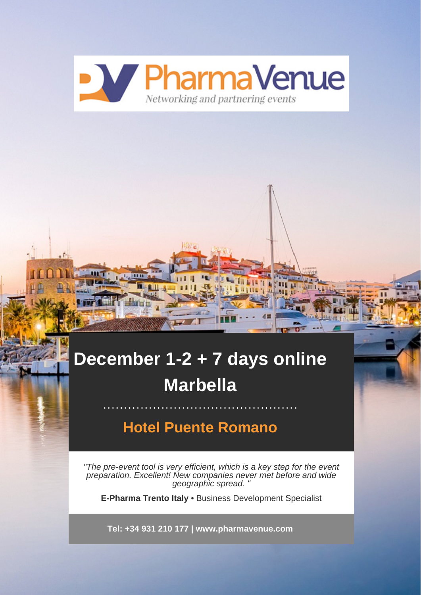

# **December 1-2 + 7 days online Marbella**

## **Hotel Puente Romano**

"The pre-event tool is very efficient, which is a key step for the event preparation. Excellent! New companies never met before and wide geographic spread. "

**E-Pharma Trento Italy** • Business Development Specialist

**Tel: +34 931 210 177 | www.pharmavenue.com**